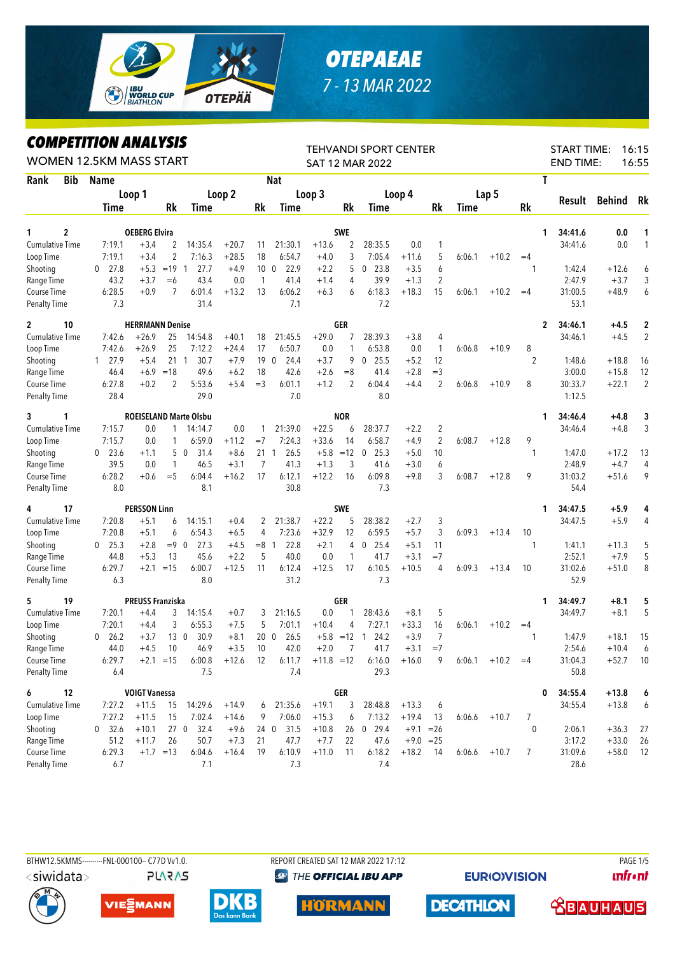

## *OTEPAEAE 7 - 13 MAR 2022*

*COMPETITION ANALYSIS*

|                        |            | LVMPEIIIIVN ANALIƏIƏ<br>WOMEN 12.5KM MASS START |                         |                 |                               |                  |                 | <b>TEHVANDI SPORT CENTER</b><br>SAT 12 MAR 2022 |               | <b>START TIME:</b><br>16:15<br><b>END TIME:</b><br>16:55 |                        |                   |                |        |                |                |                  |                   |                |
|------------------------|------------|-------------------------------------------------|-------------------------|-----------------|-------------------------------|------------------|-----------------|-------------------------------------------------|---------------|----------------------------------------------------------|------------------------|-------------------|----------------|--------|----------------|----------------|------------------|-------------------|----------------|
| Rank                   | <b>Bib</b> | <b>Name</b>                                     |                         |                 |                               |                  |                 | <b>Nat</b>                                      |               |                                                          |                        |                   |                |        |                | T              |                  |                   |                |
|                        |            |                                                 | Loop 1                  |                 |                               | Loop 2           |                 |                                                 | Loop 3        |                                                          |                        | Loop 4            |                |        | Lap 5          |                |                  |                   |                |
|                        |            | Time                                            |                         | Rk              | Time                          |                  | Rk              | Time                                            |               | Rk                                                       | Time                   |                   | Rk             | Time   |                | <b>Rk</b>      | Result           | Behind            | Rk             |
|                        |            |                                                 |                         |                 |                               |                  |                 |                                                 |               |                                                          |                        |                   |                |        |                |                |                  |                   |                |
| 1                      | 2          |                                                 | <b>OEBERG Elvira</b>    |                 |                               |                  |                 |                                                 |               | <b>SWE</b>                                               |                        |                   |                |        |                | 1              | 34:41.6          | 0.0               | 1              |
| <b>Cumulative Time</b> |            | 7:19.1                                          | $+3.4$                  | 2               | 14:35.4                       | $+20.7$          | 11              | 21:30.1                                         | $+13.6$       | 2                                                        | 28:35.5                | 0.0               | 1              |        |                |                | 34:41.6          | 0.0               | 1              |
| Loop Time              |            | 7:19.1                                          | $+3.4$                  | $\overline{c}$  | 7:16.3                        | $+28.5$          | 18              | 6:54.7                                          | $+4.0$        | 3                                                        | 7:05.4                 | $+11.6$           | 5              | 6:06.1 | $+10.2$        | $=4$           |                  |                   |                |
| Shooting               |            | 27.8<br>$\mathbf 0$                             | $+5.3$                  | $=19$ 1         | 27.7                          | $+4.9$           | 10 <sub>0</sub> | 22.9                                            | $+2.2$        | 5                                                        | 23.8<br>0              | $+3.5$            | 6              |        |                | 1              | 1:42.4           | $+12.6$           | 6              |
| Range Time             |            | 43.2                                            | $+3.7$                  | $=6$            | 43.4                          | 0.0              | 1               | 41.4                                            | $+1.4$        | 4                                                        | 39.9                   | $+1.3$            | $\overline{2}$ |        |                |                | 2:47.9           | $+3.7$            | 3              |
| Course Time            |            | 6:28.5                                          | $+0.9$                  | 7               | 6:01.4                        | $+13.2$          | 13              | 6:06.2                                          | $+6.3$        | 6                                                        | 6:18.3                 | $+18.3$           | 15             | 6:06.1 | $+10.2$        | $=4$           | 31:00.5          | $+48.9$           | 6              |
| <b>Penalty Time</b>    |            | 7.3                                             |                         |                 | 31.4                          |                  |                 | 7.1                                             |               |                                                          | 7.2                    |                   |                |        |                |                | 53.1             |                   |                |
| $\overline{c}$         | 10         |                                                 | <b>HERRMANN Denise</b>  |                 |                               |                  |                 |                                                 |               | <b>GER</b>                                               |                        |                   |                |        |                | 2              | 34:46.1          | $+4.5$            | 2              |
| <b>Cumulative Time</b> |            | 7:42.6                                          | $+26.9$                 | 25              | 14:54.8                       | $+40.1$          | 18              | 21:45.5                                         | $+29.0$       | 7                                                        | 28:39.3                | $+3.8$            | 4              |        |                |                | 34:46.1          | $+4.5$            | $\overline{2}$ |
| Loop Time              |            | 7:42.6                                          | $+26.9$                 | 25              | 7:12.2                        | $+24.4$          | 17              | 6:50.7                                          | 0.0           | 1                                                        | 6:53.8                 | 0.0               | $\mathbf{1}$   | 6:06.8 | $+10.9$        | 8              |                  |                   |                |
| Shooting               |            | 27.9<br>$\mathbf{1}$                            | $+5.4$                  | 21 1            | 30.7                          | $+7.9$           | 19 <sub>0</sub> | 24.4                                            | $+3.7$        | 9                                                        | 25.5<br>$\mathbf 0$    | $+5.2$            | 12             |        |                | $\overline{2}$ | 1:48.6           | $+18.8$           | 16             |
| Range Time             |            | 46.4                                            | $+6.9$                  | $=18$           | 49.6                          | $+6.2$           | 18              | 42.6                                            | $+2.6$        | $=8$                                                     | 41.4                   | $+2.8$            | $=$ 3          |        |                |                | 3:00.0           | $+15.8$           | 12             |
| Course Time            |            | 6:27.8                                          | $+0.2$                  | 2               | 5:53.6                        | $+5.4$           | $=$ 3           | 6:01.1                                          | $+1.2$        | $\overline{2}$                                           | 6:04.4                 | $+4.4$            | 2              | 6:06.8 | $+10.9$        | 8              | 30:33.7          | $+22.1$           | $\overline{2}$ |
| <b>Penalty Time</b>    |            | 28.4                                            |                         |                 | 29.0                          |                  |                 | 7.0                                             |               |                                                          | 8.0                    |                   |                |        |                |                | 1:12.5           |                   |                |
| 3                      | 1          |                                                 |                         |                 | <b>ROEISELAND Marte Olsbu</b> |                  |                 |                                                 |               | <b>NOR</b>                                               |                        |                   |                |        |                | 1              | 34:46.4          | $+4.8$            | 3              |
| <b>Cumulative Time</b> |            | 7:15.7                                          | 0.0                     | 1.              | 14:14.7                       | 0.0              | 1               | 21:39.0                                         | $+22.5$       | 6                                                        | 28:37.7                | $+2.2$            | 2              |        |                |                | 34:46.4          | $+4.8$            | 3              |
| Loop Time              |            | 7:15.7                                          | 0.0                     | 1               | 6:59.0                        | $+11.2$          | $=7$            | 7:24.3                                          | $+33.6$       | 14                                                       | 6:58.7                 | $+4.9$            | $\sqrt{2}$     | 6:08.7 | $+12.8$        | 9              |                  |                   |                |
| Shooting               |            | 23.6<br>$\bf{0}$                                | $+1.1$                  |                 | 31.4<br>5 0                   | $+8.6$           | 211             | 26.5                                            | $+5.8$        | $=12$                                                    | 25.3<br>$\mathbf 0$    | $+5.0$            | 10             |        |                | $\mathbf{1}$   | 1:47.0           | $+17.2$           | 13             |
| Range Time             |            | 39.5                                            | 0.0                     | 1               | 46.5                          | $+3.1$           | $\overline{7}$  | 41.3                                            | $+1.3$        | 3                                                        | 41.6                   | $+3.0$            | 6              |        |                |                | 2:48.9           | $+4.7$            | 4              |
| Course Time            |            | 6:28.2                                          | $+0.6$                  | $=$ 5           | 6:04.4                        | $+16.2$          | 17              | 6:12.1                                          | $+12.2$       | 16                                                       | 6:09.8                 | $+9.8$            | 3              | 6:08.7 | $+12.8$        | 9              | 31:03.2          | $+51.6$           | 9              |
| <b>Penalty Time</b>    |            | 8.0                                             |                         |                 | 8.1                           |                  |                 | 30.8                                            |               |                                                          | 7.3                    |                   |                |        |                |                | 54.4             |                   |                |
|                        |            |                                                 |                         |                 |                               |                  |                 |                                                 |               |                                                          |                        |                   |                |        |                |                |                  |                   |                |
| 4                      | 17         |                                                 | <b>PERSSON Linn</b>     |                 |                               |                  |                 |                                                 |               | <b>SWE</b>                                               |                        |                   |                |        |                | 1              | 34:47.5          | $+5.9$            | 4              |
| <b>Cumulative Time</b> |            | 7:20.8                                          | $+5.1$                  | 6               | 14:15.1                       | $+0.4$           | 2               | 21:38.7                                         | $+22.2$       | 5                                                        | 28:38.2                | $+2.7$            | 3              |        |                |                | 34:47.5          | $+5.9$            | 4              |
| Loop Time              |            | 7:20.8                                          | $+5.1$                  | 6               | 6:54.3                        | $+6.5$           | 4               | 7:23.6                                          | $+32.9$       | 12                                                       | 6:59.5                 | $+5.7$            | 3              | 6:09.3 | $+13.4$        | 10             |                  |                   |                |
| Shooting               |            | 25.3<br>$\mathbf{0}$                            | $+2.8$                  | $= 9 \ 0$       | 27.3                          | $+4.5$<br>$+2.2$ | $=8$ 1<br>5     | 22.8<br>40.0                                    | $+2.1$<br>0.0 | 4<br>1                                                   | $0$ 25.4<br>41.7       | $+5.1$            | 11<br>$=7$     |        |                | $\mathbf{1}$   | 1:41.1<br>2:52.1 | $+11.3$<br>$+7.9$ | 5              |
| Range Time             |            | 44.8<br>6:29.7                                  | $+5.3$                  | 13<br>$=15$     | 45.6<br>6:00.7                | $+12.5$          | 11              |                                                 | $+12.5$       | 17                                                       | 6:10.5                 | $+3.1$<br>$+10.5$ |                | 6:09.3 |                |                |                  |                   | 5              |
| Course Time            |            |                                                 | $+2.1$                  |                 | 8.0                           |                  |                 | 6:12.4                                          |               |                                                          |                        |                   | 4              |        | $+13.4$        | 10             | 31:02.6<br>52.9  | $+51.0$           | 8              |
| <b>Penalty Time</b>    |            | 6.3                                             |                         |                 |                               |                  |                 | 31.2                                            |               |                                                          | 7.3                    |                   |                |        |                |                |                  |                   |                |
| 5                      | 19         |                                                 | <b>PREUSS Franziska</b> |                 |                               |                  |                 |                                                 |               | GER                                                      |                        |                   |                |        |                | 1.             | 34:49.7          | $+8.1$            | 5              |
| <b>Cumulative Time</b> |            | 7:20.1                                          | $+4.4$                  | 3               | 14:15.4                       | $+0.7$           | 3               | 21:16.5                                         | 0.0           |                                                          | 28:43.6                | $+8.1$            | 5              |        |                |                | 34:49.7          | $+8.1$            | 5              |
| Loop Time              |            | 7:20.1                                          | $+4.4$                  | 3               | 6:55.3                        | $+7.5$           | 5               | 7:01.1                                          | $+10.4$       | 4                                                        | 7:27.1                 | $+33.3$           | 16             | 6:06.1 | $+10.2$        | $=4$           |                  |                   |                |
| Shooting               |            | 26.2<br>$\bf{0}$                                | $+3.7$                  | 13 <sub>0</sub> | 30.9                          | $+8.1$           | $20\quad0$      | 26.5                                            | $+5.8 = 12$   |                                                          | 24.2<br>$\overline{1}$ | $+3.9$            | $\overline{7}$ |        |                | 1              | 1:47.9           | $+18.1$           | 15             |
| Range Time             |            | 44.0                                            | $+4.5$                  | 10              | 46.9                          | $+3.5$           | 10              | 42.0                                            | $+2.0$        | 7                                                        | 41.7                   | $+3.1$            | $=7$           |        |                |                | 2:54.6           | $+10.4$           | 6              |
| Course Time            |            | 6:29.7                                          |                         | $+2.1 = 15$     | 6:00.8                        | $+12.6$ 12       |                 | 6:11.7                                          | $+11.8 = 12$  |                                                          | 6:16.0                 | $+16.0$           | 9              | 6:06.1 | $+10.2$        | $=4$           | 31:04.3          | $+52.7$           | 10             |
| Penalty Time           |            | 6.4                                             |                         |                 | 7.5                           |                  |                 | 7.4                                             |               |                                                          | 29.3                   |                   |                |        |                |                | 50.8             |                   |                |
| 6                      | 12         |                                                 | <b>VOIGT Vanessa</b>    |                 |                               |                  |                 |                                                 |               | GER                                                      |                        |                   |                |        |                | 0              | 34:55.4          | $+13.8$           | 6              |
| <b>Cumulative Time</b> |            | 7:27.2                                          | $+11.5$                 | 15              | 14:29.6                       | $+14.9$          | 6               | 21:35.6                                         | $+19.1$       | 3                                                        | 28:48.8                | $+13.3$           | 6              |        |                |                | 34:55.4          | $+13.8$           | 6              |
| Loop Time              |            | 7:27.2                                          | $+11.5$                 | 15              | 7:02.4                        | $+14.6$          | 9               | 7:06.0                                          | $+15.3$       | 6                                                        | 7:13.2                 | $+19.4$           | -13            | 6:06.6 | $+10.7$        | 7              |                  |                   |                |
| Shooting               |            | 0 32.6                                          | $+10.1$                 |                 | 27 0 32.4                     | $+9.6$           | 24 0            | 31.5                                            | $+10.8$       | 26                                                       | $0$ 29.4               | $+9.1 = 26$       |                |        |                | $\mathbf 0$    | 2:06.1           | $+36.3$           | 27             |
| Range Time             |            | 51.2                                            | $+11.7$                 | 26              | 50.7                          | $+7.3$           | 21              | 47.7                                            | $+7.7$        | 22                                                       | 47.6                   | $+9.0 = 25$       |                |        |                |                | 3:17.2           | $+33.0$           | 26             |
| Course Time            |            | 6:29.3                                          |                         | $+1.7 = 13$     | 6:04.6                        | $+16.4$          | 19              | 6:10.9                                          | $+11.0$       | 11                                                       | 6:18.2                 | $+18.2$           | - 14           |        | $6:06.6$ +10.7 | 7              | 31:09.6          | $+58.0$           | 12             |
| <b>Penalty Time</b>    |            | 6.7                                             |                         |                 | 7.1                           |                  |                 | 7.3                                             |               |                                                          | 7.4                    |                   |                |        |                |                | 28.6             |                   |                |



BTHW12.5KMMS---------FNL-000100-- C77D Vv1.0. REPORT CREATED SAT 12 MAR 2022 17:12 REPORT CREATED SAT 12 MAR 2022 17:12 **@ THE OFFICIAL IBU APP** 

**EURIO)VISION** 

**unfront** 





**PLARAS** 







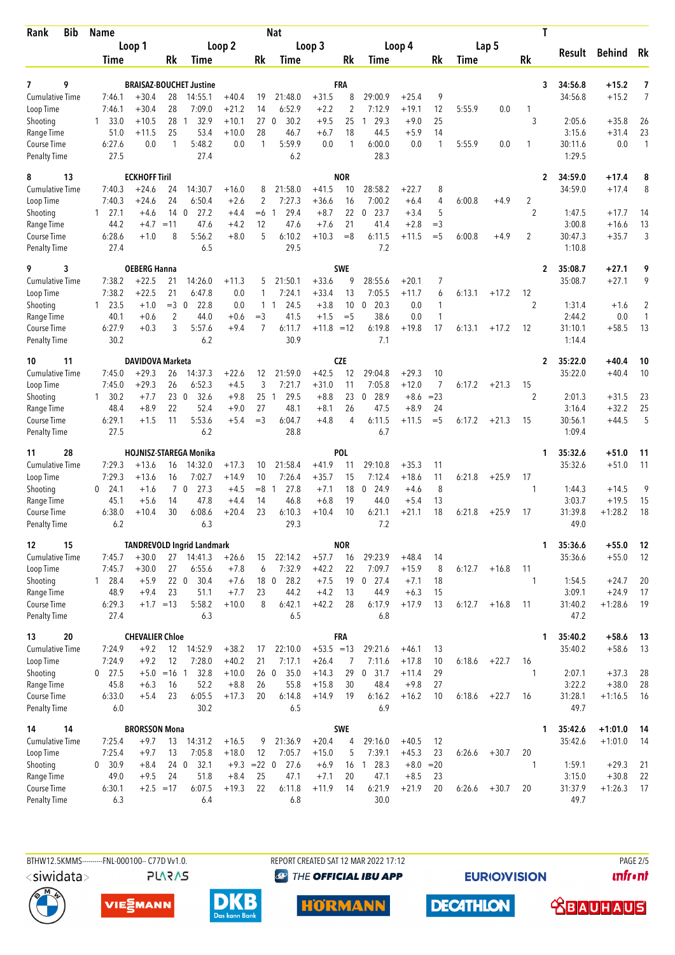| Bib<br>Rank                         | <b>Name</b>                  |                                | Nat                      |                                   |                    |                 |                   |                         |                 |                             | T                  |                      |        |         |                      |                    |                        |                    |
|-------------------------------------|------------------------------|--------------------------------|--------------------------|-----------------------------------|--------------------|-----------------|-------------------|-------------------------|-----------------|-----------------------------|--------------------|----------------------|--------|---------|----------------------|--------------------|------------------------|--------------------|
|                                     | Loop 1                       |                                | Loop 2                   |                                   | Loop 3             |                 |                   |                         | Loop 4          |                             |                    | Lap 5                |        | Result  |                      | Behind             | Rk                     |                    |
|                                     | Time                         |                                | Rk                       | Time                              |                    | Rk              | Time              |                         | Rk              | Time                        |                    | Rk                   | Time   |         | Rk                   |                    |                        |                    |
| 9<br>7                              |                              |                                |                          | <b>BRAISAZ-BOUCHET Justine</b>    |                    |                 |                   |                         | FRA             |                             |                    |                      |        |         | 3                    | 34:56.8            | $+15.2$                | 7                  |
| <b>Cumulative Time</b>              | 7:46.1                       | $+30.4$                        | 28                       | 14:55.1                           | $+40.4$            | 19              | 21:48.0           | $+31.5$                 | 8               | 29:00.9                     | $+25.4$            | 9                    |        |         |                      | 34:56.8            | $+15.2$                | $\overline{7}$     |
| Loop Time                           | 7:46.1                       | $+30.4$                        | 28                       | 7:09.0                            | $+21.2$            | 14              | 6:52.9            | $+2.2$                  | $\overline{2}$  | 7:12.9                      | $+19.1$            | 12                   | 5:55.9 | 0.0     | 1                    |                    |                        |                    |
| Shooting                            | 33.0<br>$\mathbf{1}$         | $+10.5$                        | 28 1                     | 32.9                              | $+10.1$            | 27 <sub>0</sub> | 30.2              | $+9.5$                  | 25              | 29.3<br>1                   | $+9.0$             | 25                   |        |         | 3                    | 2:05.6             | $+35.8$                | 26                 |
| Range Time<br>Course Time           | 51.0<br>6:27.6               | $+11.5$<br>0.0                 | 25<br>1                  | 53.4<br>5:48.2                    | $+10.0$<br>0.0     | 28<br>1         | 46.7<br>5:59.9    | $+6.7$<br>0.0           | 18<br>1         | 44.5<br>6:00.0              | $+5.9$<br>0.0      | 14<br>$\mathbf{1}$   | 5:55.9 | 0.0     | 1                    | 3:15.6<br>30:11.6  | $+31.4$<br>0.0         | 23<br>$\mathbf{1}$ |
| Penalty Time                        | 27.5                         |                                |                          | 27.4                              |                    |                 | 6.2               |                         |                 | 28.3                        |                    |                      |        |         |                      | 1:29.5             |                        |                    |
| 8<br>13                             |                              | <b>ECKHOFF Tiril</b>           |                          |                                   |                    |                 |                   |                         | <b>NOR</b>      |                             |                    |                      |        |         | 2                    | 34:59.0            | $+17.4$                | 8                  |
| <b>Cumulative Time</b>              | 7:40.3                       | $+24.6$                        | 24                       | 14:30.7                           | $+16.0$            | 8               | 21:58.0           | $+41.5$                 | 10              | 28:58.2                     | $+22.7$            | 8                    |        |         |                      | 34:59.0            | $+17.4$                | 8                  |
| Loop Time                           | 7:40.3                       | $+24.6$                        | 24                       | 6:50.4                            | $+2.6$             | $\overline{2}$  | 7:27.3            | $+36.6$                 | 16              | 7:00.2                      | $+6.4$             | 4<br>5               | 6:00.8 | $+4.9$  | $\overline{2}$       |                    |                        |                    |
| Shooting<br>Range Time              | 27.1<br>$\mathbf{1}$<br>44.2 | $+4.6$<br>$+4.7$               | 14 <sub>0</sub><br>$=11$ | 27.2<br>47.6                      | $+4.4$<br>$+4.2$   | $=6$<br>12      | 29.4<br>47.6      | $+8.7$<br>$+7.6$        | 22<br>21        | 23.7<br>$\mathbf 0$<br>41.4 | $+3.4$<br>$+2.8$   | $=$ 3                |        |         | 2                    | 1:47.5<br>3:00.8   | $+17.7$<br>$+16.6$     | 14<br>13           |
| Course Time                         | 6:28.6                       | $+1.0$                         | 8                        | 5:56.2                            | $+8.0$             | 5               | 6:10.2            | $+10.3$                 | $=8$            | 6:11.5                      | $+11.5$            | $=$ 5                | 6:00.8 | $+4.9$  | 2                    | 30:47.3            | $+35.7$                | 3                  |
| <b>Penalty Time</b>                 | 27.4                         |                                |                          | 6.5                               |                    |                 | 29.5              |                         |                 | 7.2                         |                    |                      |        |         |                      | 1:10.8             |                        |                    |
| 3<br>9                              |                              | <b>OEBERG Hanna</b>            |                          |                                   |                    |                 |                   |                         | <b>SWE</b>      |                             |                    |                      |        |         | 2                    | 35:08.7            | $+27.1$                | 9                  |
| <b>Cumulative Time</b><br>Loop Time | 7:38.2<br>7:38.2             | $+22.5$<br>$+22.5$             | 21<br>21                 | 14:26.0<br>6:47.8                 | $+11.3$<br>0.0     | 5<br>1          | 21:50.1<br>7:24.1 | $+33.6$<br>$+33.4$      | 9<br>13         | 28:55.6<br>7:05.5           | $+20.1$<br>$+11.7$ | 7<br>6               | 6:13.1 | $+17.2$ | 12                   | 35:08.7            | $+27.1$                | 9                  |
| Shooting                            | 23.5<br>$\mathbf{1}$         | $+1.0$                         | $=3$ 0                   | 22.8                              | 0.0                | $1\quad1$       | 24.5              | $+3.8$                  | 10              | 20.3<br>$\mathbf 0$         | 0.0                | $\mathbf{1}$         |        |         | $\overline{2}$       | 1:31.4             | $+1.6$                 | $\overline{2}$     |
| Range Time                          | 40.1                         | $+0.6$                         | 2                        | 44.0                              | $+0.6$             | $=$ 3           | 41.5              | $+1.5$                  | $=$ 5           | 38.6                        | 0.0                | $\mathbf{1}$         |        |         |                      | 2:44.2             | 0.0                    | 1                  |
| Course Time                         | 6:27.9                       | $+0.3$                         | 3                        | 5:57.6                            | $+9.4$             | 7               | 6:11.7            | $+11.8 = 12$            |                 | 6:19.8                      | $+19.8$            | 17                   | 6:13.1 | $+17.2$ | 12                   | 31:10.1            | $+58.5$                | 13                 |
| <b>Penalty Time</b>                 | 30.2                         |                                |                          | 6.2                               |                    |                 | 30.9              |                         |                 | 7.1                         |                    |                      |        |         |                      | 1:14.4             |                        |                    |
| 11<br>10                            |                              | DAVIDOVA Marketa               |                          |                                   |                    |                 |                   |                         | <b>CZE</b>      |                             |                    |                      |        |         | $\mathbf{2}$         | 35:22.0            | +40.4                  | 10                 |
| <b>Cumulative Time</b><br>Loop Time | 7:45.0<br>7:45.0             | $+29.3$<br>$+29.3$             | 26<br>26                 | 14:37.3<br>6:52.3                 | $+22.6$<br>$+4.5$  | 12<br>3         | 21:59.0<br>7:21.7 | $+42.5$<br>$+31.0$      | 12<br>11        | 29:04.8<br>7:05.8           | $+29.3$<br>$+12.0$ | 10<br>$\overline{7}$ | 6:17.2 | $+21.3$ |                      | 35:22.0            | $+40.4$                | 10                 |
| Shooting                            | 30.2<br>$\mathbf{1}$         | $+7.7$                         | 230                      | 32.6                              | $+9.8$             | 25 <sub>1</sub> | 29.5              | $+8.8$                  | 23              | 28.9<br>$\mathbf 0$         | $+8.6$             | $= 23$               |        |         | 15<br>$\overline{2}$ | 2:01.3             | $+31.5$                | 23                 |
| Range Time                          | 48.4                         | $+8.9$                         | 22                       | 52.4                              | $+9.0$             | 27              | 48.1              | $+8.1$                  | 26              | 47.5                        | $+8.9$             | 24                   |        |         |                      | 3:16.4             | $+32.2$                | 25                 |
| Course Time                         | 6:29.1                       | $+1.5$                         | 11                       | 5:53.6                            | $+5.4$             | $=$ 3           | 6:04.7            | $+4.8$                  | $\overline{4}$  | 6:11.5                      | $+11.5$            | $=$ 5                | 6:17.2 | $+21.3$ | 15                   | 30:56.1            | $+44.5$                | 5                  |
| <b>Penalty Time</b>                 | 27.5                         |                                |                          | 6.2                               |                    |                 | 28.8              |                         |                 | 6.7                         |                    |                      |        |         |                      | 1:09.4             |                        |                    |
| 28<br>11                            |                              |                                |                          | <b>HOJNISZ-STAREGA Monika</b>     |                    |                 |                   |                         | <b>POL</b>      |                             |                    |                      |        |         | 1                    | 35:32.6            | $+51.0$                | 11                 |
| <b>Cumulative Time</b><br>Loop Time | 7:29.3<br>7:29.3             | $+13.6$<br>$+13.6$             | 16<br>16                 | 14:32.0<br>7:02.7                 | $+17.3$<br>$+14.9$ | 10<br>10        | 21:58.4<br>7:26.4 | $+41.9$<br>$+35.7$      | 11<br>15        | 29:10.8<br>7:12.4           | $+35.3$<br>$+18.6$ | 11<br>11             | 6:21.8 | $+25.9$ | 17                   | 35:32.6            | $+51.0$                | 11                 |
| Shooting                            | 24.1<br>0                    | $+1.6$                         | $7^{\circ}$              | 27.3<br>$\mathbf 0$               | $+4.5$             | $=8$            | 27.8<br>-1        | $+7.1$                  | 18              | $\boldsymbol{0}$<br>24.9    | $+4.6$             | 8                    |        |         | 1                    | 1:44.3             | $+14.5$                | 9                  |
| Range Time                          | 45.1                         | $+5.6$                         | 14                       | 47.8                              | $+4.4$             | 14              | 46.8              | $+6.8$                  | 19              | 44.0                        | $+5.4$             | 13                   |        |         |                      | 3:03.7             | $+19.5$                | 15                 |
| Course Time                         | 6:38.0                       | $+10.4$                        | 30                       | 6:08.6                            | $+20.4$            | 23              | 6:10.3            | $+10.4$                 | 10              | 6:21.1                      | $+21.1$            | 18                   | 6:21.8 | $+25.9$ | 17                   | 31:39.8            | $+1:28.2$              | 18                 |
| <b>Penalty Time</b>                 | 6.2                          |                                |                          | 6.3                               |                    |                 | 29.3              |                         |                 | 7.2                         |                    |                      |        |         |                      | 49.0               |                        |                    |
| 15<br>12                            |                              |                                |                          | <b>TANDREVOLD Ingrid Landmark</b> |                    |                 |                   |                         | <b>NOR</b>      |                             |                    |                      |        |         | 1                    | 35:36.6            | $+55.0$                | 12                 |
| <b>Cumulative Time</b><br>Loop Time | 7:45.7<br>7:45.7             | $+30.0$<br>$+30.0$             | 27                       | 27 14:41.3<br>6:55.6              | $+26.6$<br>$+7.8$  | 15<br>6         | 22:14.2<br>7:32.9 | $+57.7$<br>$+42.2$      | 16<br>22        | 29:23.9<br>7:09.7           | $+48.4$<br>$+15.9$ | 14<br>8              | 6:12.7 | $+16.8$ | 11                   | 35:36.6            | $+55.0$                | 12                 |
| Shooting                            | 1 28.4                       | $+5.9$                         | 220                      | 30.4                              | $+7.6$             | 18 <sub>0</sub> | 28.2              | $+7.5$                  |                 | 19 0 27.4                   | $+7.1$             | 18                   |        |         | 1                    | 1:54.5             | $+24.7$                | 20                 |
| Range Time                          | 48.9                         | $+9.4$                         | 23                       | 51.1                              | $+7.7$             | 23              | 44.2              | $+4.2$                  | 13              | 44.9                        | $+6.3$             | 15                   |        |         |                      | 3:09.1             | $+24.9$                | 17                 |
| Course Time                         | 6:29.3                       | $+1.7 = 13$                    |                          | 5:58.2                            | $+10.0$            | 8               | 6:42.1            | $+42.2$                 | 28              | 6:17.9                      | $+17.9$            | 13                   | 6:12.7 | $+16.8$ | 11                   | 31:40.2            | $+1:28.6$              | 19                 |
| <b>Penalty Time</b>                 | 27.4                         |                                |                          | 6.3                               |                    |                 | 6.5               |                         |                 | 6.8                         |                    |                      |        |         |                      | 47.2               |                        |                    |
| 20<br>13                            |                              | <b>CHEVALIER Chloe</b>         |                          |                                   |                    |                 |                   |                         | FRA             |                             |                    |                      |        |         | 1                    | 35:40.2            | $+58.6$                | 13                 |
| <b>Cumulative Time</b><br>Loop Time | 7:24.9<br>7:24.9             | $+9.2$<br>$+9.2$               | 12<br>12                 | 14:52.9<br>7:28.0                 | $+38.2$<br>$+40.2$ | 17<br>21        | 22:10.0<br>7:17.1 | $+53.5 = 13$<br>$+26.4$ | 7               | 29:21.6<br>7:11.6           | $+46.1$<br>$+17.8$ | 13<br>10             | 6:18.6 | $+22.7$ | 16                   | 35:40.2            | $+58.6$                | 13                 |
| Shooting                            | $0$ 27.5                     | $+5.0 = 16$ 1                  |                          | 32.8                              | $+10.0$            | 260             | 35.0              | $+14.3$                 | 29              | 31.7<br>$\boldsymbol{0}$    | $+11.4$            | 29                   |        |         | 1                    | 2:07.1             | $+37.3$                | 28                 |
| Range Time                          | 45.8                         | $+6.3$                         | 16                       | 52.2                              | $+8.8$             | 26              | 55.8              | $+15.8$                 | 30              | 48.4                        | $+9.8$             | 27                   |        |         |                      | 3:22.2             | $+38.0$                | 28                 |
| Course Time                         | 6:33.0                       | $+5.4$                         | 23                       | 6:05.5                            | $+17.3$            | 20              | 6:14.8            | $+14.9$                 | 19              | 6:16.2                      | $+16.2$            | 10                   | 6:18.6 | $+22.7$ | 16                   | 31:28.1            | $+1:16.5$              | 16                 |
| <b>Penalty Time</b>                 | 6.0                          |                                |                          | 30.2                              |                    |                 | 6.5               |                         |                 | 6.9                         |                    |                      |        |         |                      | 49.7               |                        |                    |
| 14<br>14<br><b>Cumulative Time</b>  | 7:25.4                       | <b>BRORSSON Mona</b><br>$+9.7$ | 13                       | 14:31.2                           | $+16.5$            | 9               | 21:36.9           | $+20.4$                 | <b>SWE</b><br>4 | 29:16.0                     | $+40.5$            | 12                   |        |         | 1                    | 35:42.6<br>35:42.6 | $+1:01.0$<br>$+1:01.0$ | 14<br>-14          |
| Loop Time                           | 7:25.4                       | $+9.7$                         | 13                       | 7:05.8                            | $+18.0$            | 12              | 7:05.7            | $+15.0$                 | 5               | 7:39.1                      | $+45.3$            | 23                   | 6:26.6 | $+30.7$ | 20                   |                    |                        |                    |
| Shooting                            | 30.9<br>$\mathbf{0}$         | $+8.4$                         | 24 0                     | 32.1                              | $+9.3 = 22.0$      |                 | 27.6              | $+6.9$                  | 16              | 128.3                       | $+8.0$             | $=20$                |        |         | 1                    | 1:59.1             | $+29.3$                | 21                 |
| Range Time                          | 49.0                         | $+9.5$                         | 24                       | 51.8                              | $+8.4$             | 25              | 47.1              | $+7.1$                  | 20              | 47.1                        | $+8.5$             | 23                   |        |         |                      | 3:15.0             | $+30.8$                | 22                 |
| Course Time<br><b>Penalty Time</b>  | 6:30.1<br>6.3                | $+2.5 = 17$                    |                          | 6:07.5<br>6.4                     | $+19.3$            | 22              | 6:11.8<br>6.8     | $+11.9$                 | 14              | 6:21.9<br>30.0              | $+21.9$            | 20                   | 6:26.6 | $+30.7$ | 20                   | 31:37.9<br>49.7    | $+1:26.3$              | 17                 |
|                                     |                              |                                |                          |                                   |                    |                 |                   |                         |                 |                             |                    |                      |        |         |                      |                    |                        |                    |

<siwidata>

**PLARAS** 

BTHW12.5KMMS---------FNL-000100-- C77D Vv1.0. REPORT CREATED SAT 12 MAR 2022 17:12 PAGE 205 <sup><sup>9</sup> THE OFFICIAL IBU APP</sup>

**EURIOVISION** 

*<u><u>Infront</u>*</u>









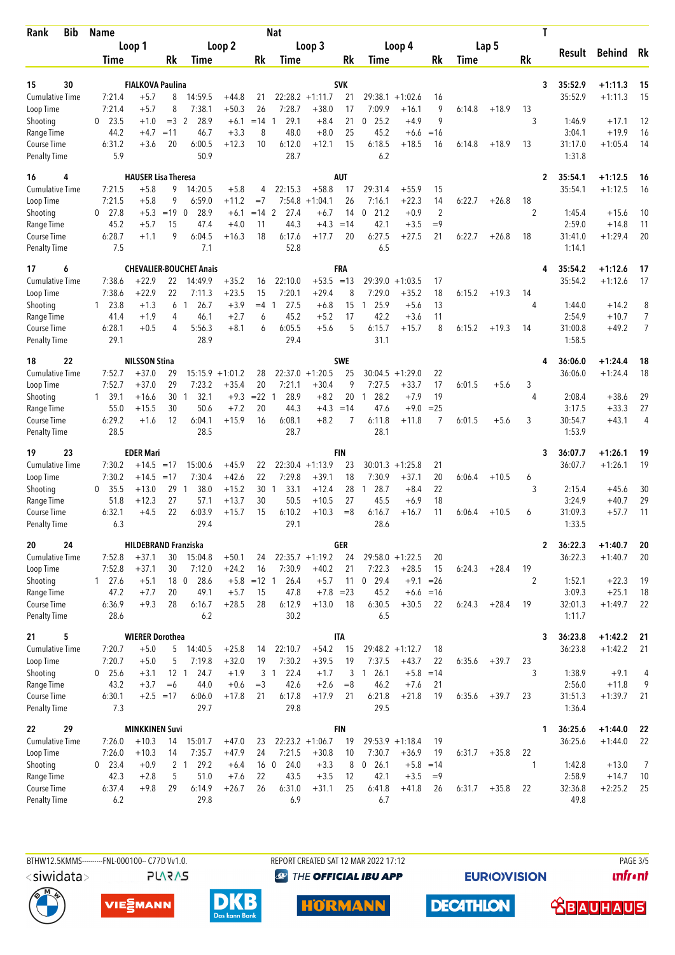| <b>Bib</b><br>Rank                  | <b>Name</b><br>Loop 1 |                                        |                 |                                |                    |                  | <b>Nat</b>             |                              |             | T                    |                              |                      |        |         |                      |                                    |                        |          |
|-------------------------------------|-----------------------|----------------------------------------|-----------------|--------------------------------|--------------------|------------------|------------------------|------------------------------|-------------|----------------------|------------------------------|----------------------|--------|---------|----------------------|------------------------------------|------------------------|----------|
|                                     |                       |                                        | Loop 2          |                                |                    | Loop 3           |                        |                              |             | Loop 4               | Lap 5                        |                      |        | Result  |                      | <b>Behind</b>                      | Rk                     |          |
|                                     | Time                  |                                        | Rk              | Time                           |                    | Rk               | Time                   |                              | Rk          | Time                 |                              | Rk                   | Time   |         | Rk                   |                                    |                        |          |
| 30<br>15                            |                       | <b>FIALKOVA Paulina</b>                |                 |                                |                    |                  |                        |                              | <b>SVK</b>  |                      |                              |                      |        |         |                      | 35:52.9<br>3                       | $+1:11.3$              | 15       |
| <b>Cumulative Time</b>              | 7:21.4                | $+5.7$                                 | 8               | 14:59.5                        | $+44.8$            | 21               |                        | $22:28.2 +1:11.7$            | 21          | 29:38.1              | $+1:02.6$                    | 16                   |        |         |                      | 35:52.9                            | $+1:11.3$              | 15       |
| Loop Time                           | 7:21.4                | $+5.7$                                 | 8               | 7:38.1                         | $+50.3$            | 26               | 7:28.7                 | $+38.0$                      | 17          | 7:09.9               | $+16.1$                      | 9                    | 6:14.8 | $+18.9$ | 13                   |                                    |                        |          |
| Shooting                            | 23.5<br>0             | $+1.0$                                 | $=$ 3           | $\overline{2}$<br>28.9         | $+6.1$             | $=14$            | 29.1<br>1              | $+8.4$                       | 21          | 25.2<br>0            | $+4.9$                       | 9                    |        |         | 3                    | 1:46.9                             | $+17.1$                | 12       |
| Range Time<br><b>Course Time</b>    | 44.2<br>6:31.2        | $+4.7$<br>$+3.6$                       | $=11$<br>20     | 46.7<br>6:00.5                 | $+3.3$<br>$+12.3$  | 8<br>10          | 48.0<br>6:12.0         | $+8.0$<br>$+12.1$            | 25<br>15    | 45.2<br>6:18.5       | $+6.6$<br>$+18.5$            | $=16$<br>16          | 6:14.8 | $+18.9$ | 13                   | 3:04.1<br>31:17.0                  | $+19.9$<br>$+1:05.4$   | 16<br>14 |
| <b>Penalty Time</b>                 | 5.9                   |                                        |                 | 50.9                           |                    |                  | 28.7                   |                              |             | 6.2                  |                              |                      |        |         |                      | 1:31.8                             |                        |          |
| 16<br>4                             |                       | <b>HAUSER Lisa Theresa</b>             |                 |                                |                    |                  |                        |                              | <b>AUT</b>  |                      |                              |                      |        |         |                      | 35:54.1<br>2                       | $+1:12.5$              | 16       |
| <b>Cumulative Time</b>              | 7:21.5                | $+5.8$                                 | 9               | 14:20.5                        | $+5.8$             | 4                | 22:15.3                | $+58.8$                      | 17          | 29:31.4              | $+55.9$                      | 15                   |        |         |                      | 35:54.1                            | $+1:12.5$              | 16       |
| Loop Time                           | 7:21.5                | $+5.8$                                 | 9               | 6:59.0<br>28.9<br>$\Omega$     | $+11.2$            | $=7$<br>$= 14$ 2 | 7:54.8                 | $+1:04.1$                    | 26          | 7:16.1<br>21.2       | $+22.3$                      | 14<br>$\overline{2}$ | 6:22.7 | $+26.8$ | 18<br>$\overline{2}$ |                                    |                        |          |
| Shooting<br>Range Time              | 27.8<br>0<br>45.2     | $+5.3$<br>$+5.7$                       | $=19$<br>15     | 47.4                           | $+6.1$<br>$+4.0$   | 11               | 27.4<br>44.3           | $+6.7$<br>$+4.3$             | 14<br>$=14$ | $\mathbf{0}$<br>42.1 | $+0.9$<br>$+3.5$             | $=9$                 |        |         |                      | 1:45.4<br>2:59.0                   | $+15.6$<br>$+14.8$     | 10<br>11 |
| <b>Course Time</b>                  | 6:28.7                | $+1.1$                                 | 9               | 6:04.5                         | $+16.3$            | 18               | 6:17.6                 | $+17.7$                      | 20          | 6:27.5               | $+27.5$                      | 21                   | 6:22.7 | $+26.8$ | 18                   | 31:41.0                            | $+1:29.4$              | 20       |
| <b>Penalty Time</b>                 | 7.5                   |                                        |                 | 7.1                            |                    |                  | 52.8                   |                              |             | 6.5                  |                              |                      |        |         |                      | 1:14.1                             |                        |          |
| 17<br>6                             |                       |                                        |                 | <b>CHEVALIER-BOUCHET Anais</b> |                    |                  |                        |                              | FRA         |                      |                              |                      |        |         |                      | 35:54.2                            | $+1:12.6$              | 17       |
| <b>Cumulative Time</b><br>Loop Time | 7:38.6<br>7:38.6      | $+22.9$<br>$+22.9$                     | 22<br>22        | 14:49.9<br>7:11.3              | $+35.2$<br>$+23.5$ | 16<br>15         | 22:10.0<br>7:20.1      | $+53.5$<br>$+29.4$           | $=13$<br>8  | 29:39.0<br>7:29.0    | $+1:03.5$<br>$+35.2$         | 17<br>18             | 6:15.2 | $+19.3$ | 14                   | 35:54.2                            | $+1:12.6$              | 17       |
| Shooting                            | 23.8<br>1             | $+1.3$                                 | 6               | 26.7<br>-1                     | $+3.9$             | $=4$             | 27.5<br>-1             | $+6.8$                       | 15          | 25.9<br>1            | $+5.6$                       | 13                   |        |         | 4                    | 1:44.0                             | $+14.2$                | 8        |
| Range Time                          | 41.4                  | $+1.9$                                 | 4               | 46.1                           | $+2.7$             | 6                | 45.2                   | $+5.2$                       | 17          | 42.2                 | $+3.6$                       | 11                   |        |         |                      | 2:54.9                             | $+10.7$                | 7        |
| Course Time                         | 6:28.1                | $+0.5$                                 | 4               | 5:56.3                         | $+8.1$             | 6                | 6:05.5                 | $+5.6$                       | 5           | 6:15.7               | $+15.7$                      | 8                    | 6:15.2 | $+19.3$ | 14                   | 31:00.8                            | $+49.2$                | 7        |
| <b>Penalty Time</b>                 | 29.1                  |                                        |                 | 28.9                           |                    |                  | 29.4                   |                              |             | 31.1                 |                              |                      |        |         |                      | 1:58.5                             |                        |          |
| 22<br>18                            |                       | <b>NILSSON Stina</b>                   |                 |                                |                    |                  |                        |                              | <b>SWE</b>  |                      |                              |                      |        |         |                      | 36:06.0<br>4                       | $+1:24.4$              | 18       |
| <b>Cumulative Time</b><br>Loop Time | 7:52.7<br>7:52.7      | $+37.0$<br>$+37.0$                     | 29<br>29        | $15:15.9 + 1:01.2$<br>7:23.2   | $+35.4$            | 28<br>20         | 7:21.1                 | $22:37.0 +1:20.5$<br>$+30.4$ | 25<br>9     | 30:04.5<br>7:27.5    | $+1:29.0$<br>$+33.7$         | 22<br>17             | 6:01.5 | $+5.6$  | 3                    | 36:06.0                            | $+1:24.4$              | 18       |
| Shooting                            | 1 39.1                | $+16.6$                                | 30              | 32.1<br>-1                     | $+9.3$             | $=22$            | 28.9<br>-1             | $+8.2$                       | 20          | 28.2<br>-1           | $+7.9$                       | 19                   |        |         | 4                    | 2:08.4                             | $+38.6$                | 29       |
| Range Time                          | 55.0                  | $+15.5$                                | 30              | 50.6                           | $+7.2$             | 20               | 44.3                   | $+4.3 = 14$                  |             | 47.6                 | $+9.0$                       | $= 25$               |        |         |                      | 3:17.5                             | $+33.3$                | 27       |
| Course Time                         | 6:29.2                | $+1.6$                                 | 12              | 6:04.1                         | $+15.9$            | 16               | 6:08.1                 | $+8.2$                       | 7           | 6:11.8               | $+11.8$                      | 7                    | 6:01.5 | $+5.6$  | 3                    | 30:54.7                            | $+43.1$                | 4        |
| <b>Penalty Time</b>                 | 28.5                  |                                        |                 | 28.5                           |                    |                  | 28.7                   |                              |             | 28.1                 |                              |                      |        |         |                      | 1:53.9                             |                        |          |
| 23<br>19                            |                       | <b>EDER Mari</b>                       |                 |                                |                    |                  |                        |                              | FIN         |                      |                              |                      |        |         |                      | 36:07.7<br>3                       | $+1:26.1$              | 19       |
| <b>Cumulative Time</b><br>Loop Time | 7:30.2<br>7:30.2      | $+14.5$<br>$+14.5$                     | $=17$<br>$=17$  | 15:00.6<br>7:30.4              | $+45.9$<br>$+42.6$ | 22<br>22         | 7:29.8                 | $22:30.4 +1:13.9$<br>$+39.1$ | 23<br>18    | 7:30.9               | $30:01.3 +1:25.8$<br>$+37.1$ | 21<br>20             | 6:06.4 | $+10.5$ | 6                    | 36:07.7                            | $+1:26.1$              | 19       |
| Shooting                            | 35.5<br>0             | $+13.0$                                | 29              | 38.0<br>$\mathbf{1}$           | $+15.2$            | 30               | 33.1<br>$\overline{1}$ | $+12.4$                      | 28          | 28.7<br>1            | $+8.4$                       | 22                   |        |         | 3                    | 2:15.4                             | $+45.6$                | 30       |
| Range Time                          | 51.8                  | $+12.3$                                | 27              | 57.1                           | $+13.7$            | 30               | 50.5                   | $+10.5$                      | 27          | 45.5                 | $+6.9$                       | 18                   |        |         |                      | 3:24.9                             | $+40.7$                | 29       |
| <b>Course Time</b>                  | 6:32.1                | $+4.5$                                 | 22              | 6:03.9                         | $+15.7$            | 15               | 6:10.2                 | $+10.3$                      | $=8$        | 6:16.7               | $+16.7$                      | 11                   | 6:06.4 | $+10.5$ | 6                    | 31:09.3                            | $+57.7$                | 11       |
| <b>Penalty Time</b>                 | 6.3                   |                                        |                 | 29.4                           |                    |                  | 29.1                   |                              |             | 28.6                 |                              |                      |        |         |                      | 1:33.5                             |                        |          |
| 24<br>20<br>Cumulative Time         | 7:52.8                | <b>HILDEBRAND Franziska</b><br>$+37.1$ |                 |                                | $+50.1$            |                  |                        | $22:35.7 +1:19.2$            | GER         |                      | $29:58.0 + 1:22.5$           |                      |        |         |                      | 36:22.3<br>$\mathbf{2}$<br>36:22.3 | $+1:40.7$<br>$+1:40.7$ | 20<br>20 |
| Loop Time                           | 7:52.8                | $+37.1$                                | 30<br>30        | 15:04.8<br>7:12.0              | $+24.2$            | 24<br>16         | 7:30.9                 | $+40.2$                      | 24<br>21    | 7:22.3               | $+28.5$                      | 20<br>15             | 6:24.3 | $+28.4$ | 19                   |                                    |                        |          |
| Shooting                            | 127.6                 | $+5.1$                                 | 18 0            | 28.6                           |                    | $+5.8$ = 12 1    | 26.4                   | $+5.7$                       |             | 11 0 29.4            | $+9.1 = 26$                  |                      |        |         | 2                    | 1:52.1                             | $+22.3$                | 19       |
| Range Time                          | 47.2                  | $+7.7$                                 | 20              | 49.1                           | $+5.7$             | 15               | 47.8                   | $+7.8 = 23$                  |             | 45.2                 | $+6.6 = 16$                  |                      |        |         |                      | 3:09.3                             | $+25.1$                | 18       |
| Course Time                         | 6:36.9                | $+9.3$                                 | 28              | 6:16.7                         | $+28.5$            | 28               | 6:12.9                 | $+13.0$                      | 18          | 6:30.5               | $+30.5$                      | 22                   | 6:24.3 | $+28.4$ | 19                   | 32:01.3                            | $+1:49.7$              | 22       |
| <b>Penalty Time</b>                 | 28.6                  |                                        |                 | 6.2                            |                    |                  | 30.2                   |                              |             | 6.5                  |                              |                      |        |         |                      | 1:11.7                             |                        |          |
| 5<br>21                             |                       | <b>WIERER Dorothea</b>                 |                 |                                |                    |                  |                        |                              | <b>ITA</b>  |                      |                              |                      |        |         |                      | 36:23.8<br>3                       | $+1:42.2$              | 21       |
| <b>Cumulative Time</b><br>Loop Time | 7:20.7<br>7:20.7      | $+5.0$<br>$+5.0$                       | 5<br>5          | 14:40.5<br>7:19.8              | $+25.8$<br>$+32.0$ | 14<br>19         | 22:10.7<br>7:30.2      | $+54.2$<br>$+39.5$           | 15<br>19    | 7:37.5               | $29:48.2 +1:12.7$<br>$+43.7$ | 18<br>22             | 6:35.6 | $+39.7$ | 23                   | 36:23.8                            | $+1:42.2$              | 21       |
| Shooting                            | $0$ 25.6              | $+3.1$                                 | 12 <sub>1</sub> | 24.7                           | $+1.9$             |                  | 3 1<br>22.4            | $+1.7$                       | 3           | 26.1<br>1            | $+5.8$                       | $=14$                |        |         | 3                    | 1:38.9                             | $+9.1$                 | 4        |
| Range Time                          | 43.2                  | $+3.7$                                 | $=6$            | 44.0                           | $+0.6$             | $=$ 3            | 42.6                   | $+2.6$                       | $= 8$       | 46.2                 | $+7.6$                       | 21                   |        |         |                      | 2:56.0                             | $+11.8$                | 9        |
| Course Time                         | 6:30.1                | $+2.5 = 17$                            |                 | 6:06.0                         | $+17.8$            | 21               | 6:17.8                 | $+17.9$                      | 21          | 6:21.8               | $+21.8$                      | 19                   | 6:35.6 | $+39.7$ | 23                   | 31:51.3                            | $+1:39.7$              | 21       |
| <b>Penalty Time</b>                 | 7.3                   |                                        |                 | 29.7                           |                    |                  | 29.8                   |                              |             | 29.5                 |                              |                      |        |         |                      | 1:36.4                             |                        |          |
| 29<br>22                            |                       | <b>MINKKINEN Suvi</b>                  |                 |                                |                    |                  |                        | $22:23.2 +1:06.7$            | <b>FIN</b>  |                      | $29:53.9 +1:18.4$            |                      |        |         |                      | 36:25.6<br>1                       | $+1:44.0$              | 22       |
| <b>Cumulative Time</b><br>Loop Time | 7:26.0<br>7:26.0      | $+10.3$<br>$+10.3$                     | 14<br>14        | 15:01.7<br>7:35.7              | $+47.0$<br>$+47.9$ | 23<br>24         | 7:21.5                 | $+30.8$                      | 19<br>10    | 7:30.7               | $+36.9$                      | 19<br>19             | 6:31.7 | $+35.8$ | 22                   | 36:25.6                            | $+1:44.0$              | 22       |
| Shooting                            | $0$ 23.4              | $+0.9$                                 |                 | 2 <sub>1</sub><br>29.2         | $+6.4$             | 16 0             | 24.0                   | $+3.3$                       | 8           | $0$ 26.1             | $+5.8$                       | $=14$                |        |         | 1                    | 1:42.8                             | $+13.0$                | 7        |
| Range Time                          | 42.3                  | $+2.8$                                 | 5               | 51.0                           | $+7.6$             | 22               | 43.5                   | $+3.5$                       | 12          | 42.1                 | $+3.5$                       | $=9$                 |        |         |                      | 2:58.9                             | $+14.7$                | 10       |
| Course Time                         | 6:37.4                | $+9.8$                                 | 29              | 6:14.9                         | $+26.7$            | 26               | 6:31.0                 | $+31.1$                      | 25          | 6:41.8               | $+41.8$                      | 26                   | 6:31.7 | $+35.8$ | 22                   | 32:36.8                            | $+2:25.2$              | 25       |
| <b>Penalty Time</b>                 | 6.2                   |                                        |                 | 29.8                           |                    |                  | 6.9                    |                              |             | 6.7                  |                              |                      |        |         |                      | 49.8                               |                        |          |

<siwidata>

BTHW12.5KMMS---------FNL-000100-- C77D Vv1.0. **PLARAS**  REPORT CREATED SAT 12 MAR 2022 17:12 <sup><sup>9</sup> THE OFFICIAL IBU APP</sup>

**EURIOVISION** 

**PAGE 3/5** *<u><u>Infront</u>*</u>







**DECATHLON HÖRMANN**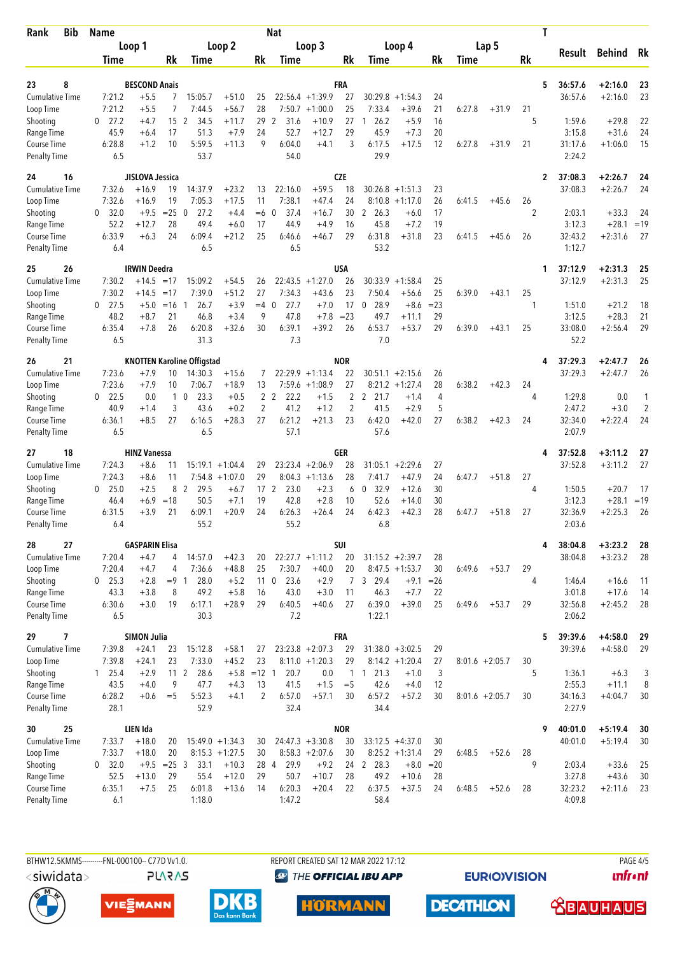| <b>Bib</b><br>Rank                 | <b>Name</b>            |                                |                      |                                   |                    |                       | <b>Nat</b>                      |                    |                       |                                  |                    |              |        | T                 |         |                         |                         |                     |  |
|------------------------------------|------------------------|--------------------------------|----------------------|-----------------------------------|--------------------|-----------------------|---------------------------------|--------------------|-----------------------|----------------------------------|--------------------|--------------|--------|-------------------|---------|-------------------------|-------------------------|---------------------|--|
|                                    | Loop 1                 |                                | Loop 2               |                                   |                    |                       | Loop 3                          |                    |                       |                                  | Loop 4             |              |        | Lap 5             |         |                         | <b>Behind</b><br>Result |                     |  |
|                                    | Time                   |                                | Rk                   | Time                              |                    | Rk                    | Time                            |                    | Rk                    | Time                             |                    | Rk           | Time   |                   | Rk      |                         |                         | Rk                  |  |
|                                    |                        |                                |                      |                                   |                    |                       |                                 |                    |                       |                                  |                    |              |        |                   |         |                         |                         |                     |  |
| 8<br>23<br><b>Cumulative Time</b>  | 7:21.2                 | <b>BESCOND Anais</b><br>$+5.5$ | 7                    | 15:05.7                           | $+51.0$            | 25                    |                                 | $22:56.4 +1:39.9$  | FRA<br>27             | 30:29.8                          | $+1:54.3$          | 24           |        |                   |         | 5<br>36:57.6<br>36:57.6 | $+2:16.0$<br>$+2:16.0$  | 23<br>23            |  |
| Loop Time                          | 7:21.2                 | $+5.5$                         | 7                    | 7:44.5                            | $+56.7$            | 28                    |                                 | $7:50.7 +1:00.0$   | 25                    | 7:33.4                           | $+39.6$            | 21           | 6:27.8 | $+31.9$           | 21      |                         |                         |                     |  |
| Shooting                           | 27.2<br>0              | $+4.7$                         | 15                   | $\overline{2}$<br>34.5            | $+11.7$            | 29                    | 2<br>31.6                       | $+10.9$            | 27                    | 26.2<br>1                        | $+5.9$             | 16           |        |                   | 5       | 1:59.6                  | $+29.8$                 | 22                  |  |
| Range Time                         | 45.9                   | $+6.4$                         | 17                   | 51.3                              | $+7.9$             | 24                    | 52.7                            | $+12.7$            | 29                    | 45.9                             | $+7.3$             | 20           |        |                   |         | 3:15.8                  | $+31.6$                 | 24                  |  |
| Course Time<br><b>Penalty Time</b> | 6:28.8<br>6.5          | $+1.2$                         | 10                   | 5:59.5<br>53.7                    | $+11.3$            | 9                     | 6:04.0<br>54.0                  | $+4.1$             | 3                     | 6:17.5<br>29.9                   | $+17.5$            | 12           | 6:27.8 | $+31.9$           | 21      | 31:17.6<br>2:24.2       | $+1:06.0$               | 15                  |  |
| 24<br>16                           |                        | JISLOVA Jessica                |                      |                                   |                    |                       |                                 |                    | <b>CZE</b>            |                                  |                    |              |        |                   |         | 37:08.3<br>2            | $+2:26.7$               | 24                  |  |
| <b>Cumulative Time</b>             | 7:32.6                 | $+16.9$                        | 19                   | 14:37.9                           | $+23.2$            | 13                    | 22:16.0                         | $+59.5$            | 18                    | 30:26.8                          | $+1:51.3$          | 23           |        |                   |         | 37:08.3                 | $+2:26.7$               | 24                  |  |
| Loop Time                          | 7:32.6                 | $+16.9$                        | 19                   | 7:05.3                            | $+17.5$            | 11                    | 7:38.1                          | $+47.4$            | 24                    | 8:10.8                           | $+1:17.0$          | 26           | 6:41.5 | $+45.6$           | 26      |                         |                         |                     |  |
| Shooting                           | 32.0<br>0              | $+9.5$                         | $=25$                | 27.2<br>- 0                       | $+4.4$             | $=6$                  | 37.4<br>$\mathbf 0$             | $+16.7$            | 30                    | $\mathbf{2}$<br>26.3             | +6.0               | 17           |        |                   | 2       | 2:03.1                  | $+33.3$                 | 24                  |  |
| Range Time                         | 52.2<br>6:33.9         | $+12.7$<br>$+6.3$              | 28<br>24             | 49.4<br>6:09.4                    | $+6.0$<br>$+21.2$  | 17<br>25              | 44.9<br>6:46.6                  | $+4.9$<br>$+46.7$  | 16<br>29              | 45.8<br>6:31.8                   | $+7.2$<br>$+31.8$  | 19<br>23     | 6:41.5 |                   |         | 3:12.3<br>32:43.2       | $+28.1$<br>$+2:31.6$    | $=19$<br>27         |  |
| Course Time<br><b>Penalty Time</b> | 6.4                    |                                |                      | 6.5                               |                    |                       | 6.5                             |                    |                       | 53.2                             |                    |              |        | $+45.6$           | 26      | 1:12.7                  |                         |                     |  |
| 25<br>26                           |                        | <b>IRWIN Deedra</b>            |                      |                                   |                    |                       |                                 |                    | USA                   |                                  |                    |              |        |                   |         | 37:12.9<br>1            | $+2:31.3$               | 25                  |  |
| Cumulative Time                    | 7:30.2                 | $+14.5$                        | $=17$                | 15:09.2                           | $+54.5$            | 26                    | 22:43.5                         | $+1:27.0$          | 26                    | 30:33.9                          | $+1:58.4$          | 25           |        |                   |         | 37:12.9                 | $+2:31.3$               | 25                  |  |
| Loop Time                          | 7:30.2                 | $+14.5$                        | $=17$                | 7:39.0                            | $+51.2$            | 27<br>$=4$ 0          | 7:34.3                          | $+43.6$            | 23                    | 7:50.4                           | $+56.6$            | 25           | 6:39.0 | $+43.1$           | 25<br>1 |                         |                         |                     |  |
| Shooting<br>Range Time             | 27.5<br>0<br>48.2      | $+5.0$<br>$+8.7$               | $=16$<br>21          | 26.7<br>$\mathbf{1}$<br>46.8      | $+3.9$<br>$+3.4$   | 9                     | 27.7<br>47.8                    | $+7.0$<br>$+7.8$   | 17<br>$= 23$          | $\boldsymbol{0}$<br>28.9<br>49.7 | $+8.6$<br>$+11.1$  | $= 23$<br>29 |        |                   |         | 1:51.0<br>3:12.5        | $+21.2$<br>$+28.3$      | 18<br>21            |  |
| Course Time                        | 6:35.4                 | $+7.8$                         | 26                   | 6:20.8                            | $+32.6$            | 30                    | 6:39.1                          | $+39.2$            | 26                    | 6:53.7                           | $+53.7$            | 29           | 6:39.0 | $+43.1$           | 25      | 33:08.0                 | $+2:56.4$               | 29                  |  |
| <b>Penalty Time</b>                | 6.5                    |                                |                      | 31.3                              |                    |                       | 7.3                             |                    |                       | 7.0                              |                    |              |        |                   |         | 52.2                    |                         |                     |  |
| 21<br>26                           |                        |                                |                      | <b>KNOTTEN Karoline Offigstad</b> |                    |                       |                                 |                    | <b>NOR</b>            |                                  |                    |              |        |                   |         | 37:29.3<br>4            | $+2:47.7$               | 26                  |  |
| <b>Cumulative Time</b>             | 7:23.6                 | $+7.9$                         | 10                   | 14:30.3                           | $+15.6$            | 7                     |                                 | $22:29.9 +1:13.4$  | 22                    |                                  | $30:51.1 + 2:15.6$ | 26           |        |                   |         | 37:29.3                 | $+2:47.7$               | 26                  |  |
| Loop Time                          | 7:23.6                 | $+7.9$                         | 10                   | 7:06.7                            | $+18.9$            | 13                    | 7:59.6                          | $+1:08.9$          | 27                    | 8:21.2                           | $+1:27.4$          | 28           | 6:38.2 | $+42.3$           | 24      |                         |                         |                     |  |
| Shooting<br>Range Time             | $0$ 22.5<br>40.9       | 0.0<br>$+1.4$                  | 3                    | 23.3<br>$1\quad0$<br>43.6         | $+0.5$<br>$+0.2$   | $\overline{c}$        | 2 <sub>2</sub><br>22.2<br>41.2  | $+1.5$<br>$+1.2$   | 2<br>$\overline{c}$   | 2 21.7<br>41.5                   | $+1.4$<br>$+2.9$   | 4<br>5       |        |                   | 4       | 1:29.8<br>2:47.2        | 0.0<br>$+3.0$           | 1<br>$\overline{2}$ |  |
| Course Time                        | 6:36.1                 | $+8.5$                         | 27                   | 6:16.5                            | $+28.3$            | 27                    | 6:21.2                          | $+21.3$            | 23                    | 6:42.0                           | $+42.0$            | 27           | 6:38.2 | $+42.3$           | 24      | 32:34.0                 | $+2:22.4$               | 24                  |  |
| <b>Penalty Time</b>                | 6.5                    |                                |                      | 6.5                               |                    |                       | 57.1                            |                    |                       | 57.6                             |                    |              |        |                   |         | 2:07.9                  |                         |                     |  |
| 18<br>27                           |                        | <b>HINZ Vanessa</b>            |                      |                                   |                    |                       |                                 |                    | GER                   |                                  |                    |              |        |                   |         | 37:52.8<br>4            | $+3:11.2$               | 27                  |  |
| Cumulative Time                    | 7:24.3                 | $+8.6$                         | 11                   |                                   | $15:19.1 + 1:04.4$ | 29                    |                                 | $23:23.4 +2:06.9$  | 28                    |                                  | $31:05.1 + 2:29.6$ | 27           |        |                   |         | 37:52.8                 | $+3:11.2$               | 27                  |  |
| Loop Time                          | 7:24.3                 | $+8.6$                         | 11                   |                                   | $7:54.8$ +1:07.0   | 29                    |                                 | $8:04.3 +1:13.6$   | 28                    | 7:41.7                           | $+47.9$            | 24           | 6:47.7 | $+51.8$           | 27      |                         |                         |                     |  |
| Shooting                           | 25.0<br>0              | $+2.5$<br>$+6.9$               | 8<br>$=18$           | $\overline{2}$<br>29.5<br>50.5    | $+6.7$<br>$+7.1$   | 17 <sub>2</sub><br>19 | 23.0<br>42.8                    | $+2.3$<br>$+2.8$   | 6                     | 32.9<br>0<br>52.6                | $+12.6$<br>$+14.0$ | 30<br>30     |        |                   | 4       | 1:50.5<br>3:12.3        | $+20.7$<br>$+28.1$      | 17<br>$=19$         |  |
| Range Time<br><b>Course Time</b>   | 46.4<br>6:31.5         | $+3.9$                         | 21                   | 6:09.1                            | $+20.9$            | 24                    | 6:26.3                          | $+26.4$            | 10<br>24              | 6:42.3                           | $+42.3$            | 28           | 6:47.7 | $+51.8$           | 27      | 32:36.9                 | $+2:25.3$               | 26                  |  |
| <b>Penalty Time</b>                | 6.4                    |                                |                      | 55.2                              |                    |                       | 55.2                            |                    |                       | 6.8                              |                    |              |        |                   |         | 2:03.6                  |                         |                     |  |
| 27<br>28                           |                        | <b>GASPARIN Elisa</b>          |                      |                                   |                    |                       |                                 |                    | SUI                   |                                  |                    |              |        |                   |         | 38:04.8<br>4            | $+3:23.2$               | 28                  |  |
| <b>Cumulative Time</b>             | 7:20.4                 | $+4.7$                         | 4                    | 14:57.0                           | $+42.3$            | 20                    |                                 | $22:27.7 +1:11.2$  | 20                    |                                  | $31:15.2 +2:39.7$  | 28           |        |                   |         | 38:04.8                 | $+3:23.2$               | 28                  |  |
| Loop Time                          | 7:20.4                 | $+4.7$                         | 4                    | 7:36.6                            | $+48.8$            | 25                    | 7:30.7                          | $+40.0$            | 20                    |                                  | $8:47.5 +1:53.7$   | 30           | 6:49.6 | $+53.7$           | 29      |                         |                         |                     |  |
| Shooting<br>Range Time             | $0$ 25.3<br>43.3       | $+2.8$<br>$+3.8$               | $= 9 \quad 1$<br>8   | 28.0<br>49.2                      | $+5.2$<br>$+5.8$   | 16                    | 23.6<br>11 <sub>0</sub><br>43.0 | $+2.9$<br>$+3.0$   | $\mathcal{I}$<br>11   | 3 29.4<br>46.3                   | $+9.1$<br>$+7.7$   | $=26$<br>22  |        |                   | 4       | 1:46.4<br>3:01.8        | $+16.6$<br>$+17.6$      | 11<br>14            |  |
| Course Time                        | 6:30.6                 | $+3.0$                         | 19                   | 6:17.1                            | $+28.9$            | 29                    | 6:40.5                          | $+40.6$            | 27                    | 6:39.0                           | $+39.0$            | 25           | 6:49.6 | $+53.7$           | 29      | 32:56.8                 | $+2:45.2$               | 28                  |  |
| <b>Penalty Time</b>                | 6.5                    |                                |                      | 30.3                              |                    |                       | 7.2                             |                    |                       | 1:22.1                           |                    |              |        |                   |         | 2:06.2                  |                         |                     |  |
| 7<br>29                            |                        | <b>SIMON Julia</b>             |                      |                                   |                    |                       |                                 |                    | <b>FRA</b>            |                                  |                    |              |        |                   |         | 5<br>39:39.6            | $+4:58.0$               | 29                  |  |
| <b>Cumulative Time</b>             | 7:39.8                 | $+24.1$                        | 23                   | 15:12.8                           | $+58.1$            | 27                    |                                 | $23:23.8 + 2:07.3$ | 29                    |                                  | $31:38.0 + 3:02.5$ | 29           |        |                   |         | 39:39.6                 | $+4:58.0$               | 29                  |  |
| Loop Time                          | 7:39.8                 | $+24.1$                        | 23                   | 7:33.0<br>28.6                    | $+45.2$            | 23<br>$+5.8$ = 12 1   |                                 | $8:11.0 + 1:20.3$  | 29                    |                                  | $8:14.2 +1:20.4$   | 27           |        | $8:01.6 + 2:05.7$ | 30      |                         |                         |                     |  |
| Shooting<br>Range Time             | $1 \quad 25.4$<br>43.5 | $+2.9$<br>$+4.0$               | 11 <sub>2</sub><br>9 | 47.7                              | $+4.3$             | 13                    | 20.7<br>41.5                    | 0.0<br>$+1.5$      | $\mathbf{1}$<br>$=$ 5 | 21.3<br>$\mathbf{1}$<br>42.6     | $+1.0$<br>$+4.0$   | 3<br>12      |        |                   | 5       | 1:36.1<br>2:55.3        | $+6.3$<br>$+11.1$       | 3<br>8              |  |
| Course Time                        | 6:28.2                 | $+0.6$                         | $=$ 5                | 5:52.3                            | $+4.1$             | 2                     | 6:57.0                          | $+57.1$            | 30                    | 6:57.2                           | $+57.2$            | 30           |        | $8:01.6 + 2:05.7$ | 30      | 34:16.3                 | $+4:04.7$               | 30                  |  |
| <b>Penalty Time</b>                | 28.1                   |                                |                      | 52.9                              |                    |                       | 32.4                            |                    |                       | 34.4                             |                    |              |        |                   |         | 2:27.9                  |                         |                     |  |
| 25<br>30                           |                        | LIEN Ida                       |                      |                                   |                    |                       |                                 |                    | <b>NOR</b>            |                                  |                    |              |        |                   |         | 40:01.0<br>9            | $+5:19.4$               | 30                  |  |
| <b>Cumulative Time</b>             | 7:33.7                 | $+18.0$                        | 20                   |                                   | $15:49.0 + 1:34.3$ | 30                    |                                 | $24:47.3 + 3:30.8$ | 30                    |                                  | $33:12.5 +4:37.0$  | 30           |        |                   |         | 40:01.0                 | $+5:19.4$               | 30                  |  |
| Loop Time                          | 7:33.7                 | $+18.0$                        | 20                   |                                   | $8:15.3 +1:27.5$   | 30                    |                                 | $8:58.3 + 2:07.6$  | 30                    |                                  | $8:25.2 +1:31.4$   | 29           | 6:48.5 | $+52.6$           | 28<br>9 |                         |                         |                     |  |
| Shooting<br>Range Time             | 0 32.0<br>52.5         | $+9.5$<br>$+13.0$              | $= 25 \quad 3$<br>29 | 33.1<br>55.4                      | $+10.3$<br>$+12.0$ | 29                    | 28 4<br>29.9<br>50.7            | $+9.2$<br>$+10.7$  | 28                    | 24 2 28.3<br>49.2                | $+8.0$<br>$+10.6$  | $=20$<br>28  |        |                   |         | 2:03.4<br>3:27.8        | $+33.6$<br>$+43.6$      | 25<br>30            |  |
| Course Time                        | 6:35.1                 | $+7.5$                         | 25                   | 6:01.8                            | $+13.6$            | 14                    | 6:20.3                          | $+20.4$            | 22                    | 6:37.5                           | $+37.5$            | 24           | 6:48.5 | $+52.6$           | 28      | 32:23.2                 | $+2:11.6$               | 23                  |  |
| <b>Penalty Time</b>                | 6.1                    |                                |                      | 1:18.0                            |                    |                       | 1:47.2                          |                    |                       | 58.4                             |                    |              |        |                   |         | 4:09.8                  |                         |                     |  |
|                                    |                        |                                |                      |                                   |                    |                       |                                 |                    |                       |                                  |                    |              |        |                   |         |                         |                         |                     |  |

<siwidata>

BTHW12.5KMMS---------FNL-000100-- C77D Vv1.0. **PLARAS**  REPORT CREATED SAT 12 MAR 2022 17:12 <sup><sup>9</sup> THE OFFICIAL IBU APP</sup>

**EURIOVISION** 

**PAGE 4/5** *<u><u>Infront</u>*</u>







**HÖRMANN**